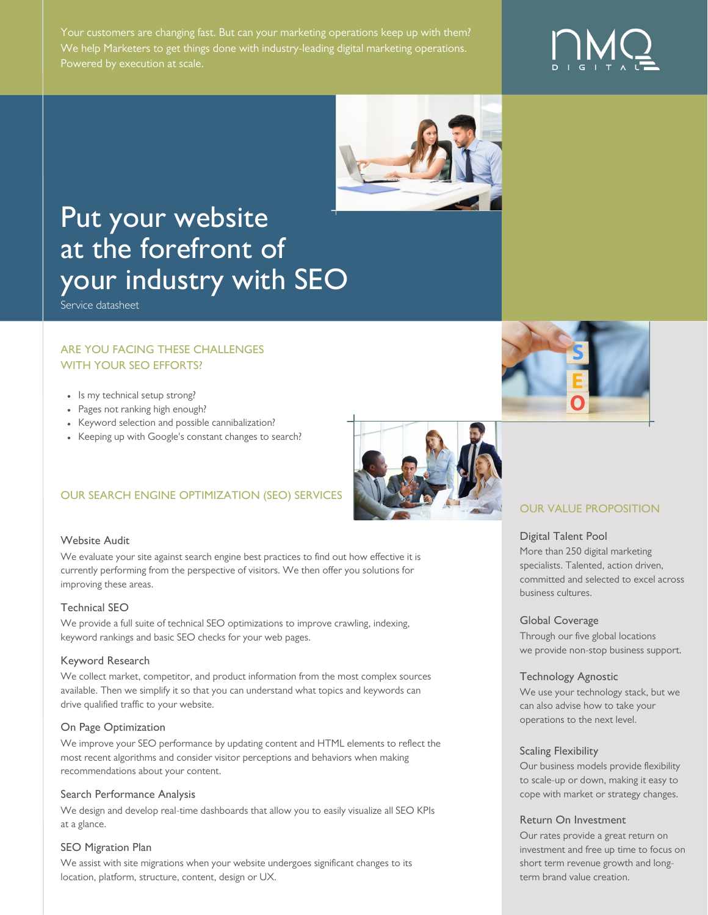Your customers are changing fast. But can your marketing operations keep up with them? We help Marketers to get things done with industry-leading digital marketing operations.



# Put your website at the forefront of your industry with SEO

Service datasheet

#### ARE YOU FACING THESE CHALLENGES WITH YOUR SEO EFFORTS?

- Is my technical setup strong?
- Pages not ranking high enough?
- Keyword selection and possible cannibalization?
- Keeping up with Google's constant changes to search?



## OUR SEARCH ENGINE OPTIMIZATION (SEO) SERVICES

#### Website Audit

We evaluate your site against search engine best practices to find out how effective it is currently performing from the perspective of visitors. We then offer you solutions for improving these areas.

#### Technical SEO

We provide a full suite of technical SEO optimizations to improve crawling, indexing, keyword rankings and basic SEO checks for your web pages.

#### Keyword Research

We collect market, competitor, and product information from the most complex sources available. Then we simplify it so that you can understand what topics and keywords can drive qualified traffic to your website.

#### On Page Optimization

We improve your SEO performance by updating content and HTML elements to reflect the most recent algorithms and consider visitor perceptions and behaviors when making recommendations about your content.

#### Search Performance Analysis

We design and develop real-time dashboards that allow you to easily visualize all SEO KPIs at a glance.

#### SEO Migration Plan

We assist with site migrations when your website undergoes significant changes to its location, platform, structure, content, design or UX.

# OUR VALUE PROPOSITION

#### Digital Talent Pool

More than 250 digital marketing specialists. Talented, action driven, committed and selected to excel across business cultures.

#### Global Coverage

Through our five global locations we provide non-stop business support.

#### Technology Agnostic

We use your technology stack, but we can also advise how to take your operations to the next level.

#### Scaling Flexibility

Our business models provide flexibility to scale-up or down, making it easy to cope with market or strategy changes.

#### Return On Investment

Our rates provide a great return on investment and free up time to focus on short term revenue growth and longterm brand value creation.